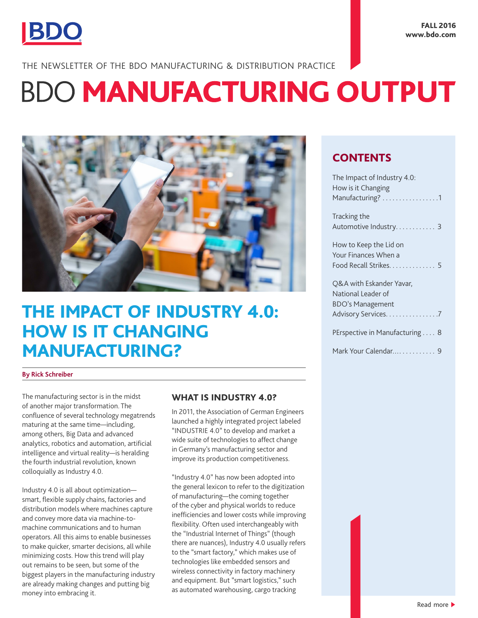

THE NEWSLETTER OF THE BDO MANUFACTURING & DISTRIBUTION PRACTICE

# **BDO MANUFACTURING OUTPUT**



## THE IMPACT OF INDUSTRY 4.0: HOW IS IT CHANGING MANUFACTURING?

#### **By Rick Schreiber**

The manufacturing sector is in the midst of another major transformation. The confluence of several technology megatrends maturing at the same time—including, among others, Big Data and advanced analytics, robotics and automation, artificial intelligence and virtual reality—is heralding the fourth industrial revolution, known colloquially as Industry 4.0.

Industry 4.0 is all about optimization smart, flexible supply chains, factories and distribution models where machines capture and convey more data via machine-tomachine communications and to human operators. All this aims to enable businesses to make quicker, smarter decisions, all while minimizing costs. How this trend will play out remains to be seen, but some of the biggest players in the manufacturing industry are already making changes and putting big money into embracing it.

## WHAT IS INDUSTRY 4.0?

In 2011, the Association of German Engineers launched a highly integrated project labeled "INDUSTRIE 4.0" to develop and market a wide suite of technologies to affect change in Germany's manufacturing sector and improve its production competitiveness.

"Industry 4.0" has now been adopted into the general lexicon to refer to the digitization of manufacturing—the coming together of the cyber and physical worlds to reduce inefficiencies and lower costs while improving flexibility. Often used interchangeably with the "Industrial Internet of Things" (though there are nuances), Industry 4.0 usually refers to the "smart factory," which makes use of technologies like embedded sensors and wireless connectivity in factory machinery and equipment. But "smart logistics," such as automated warehousing, cargo tracking

## **CONTENTS**

| The Impact of Industry 4.0:    |
|--------------------------------|
| How is it Changing             |
| Manufacturing? 1               |
| Tracking the                   |
| Automotive Industry 3          |
| How to Keep the Lid on         |
| Your Finances When a           |
| Food Recall Strikes. 5         |
| O&A with Eskander Yavar,       |
| National Leader of             |
| <b>BDO's Management</b>        |
| Advisory Services. 7           |
| PErspective in Manufacturing 8 |
| Mark Your Calendar 9           |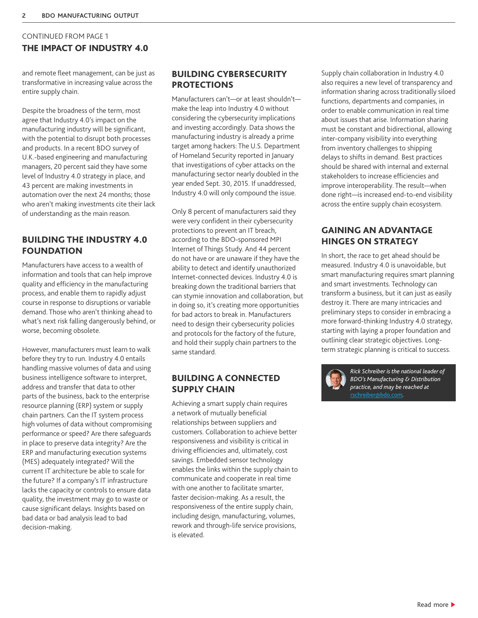## CONTINUED FROM PAGE 1 THE IMPACT OF INDUSTRY 4.0

and remote fleet management, can be just as transformative in increasing value across the entire supply chain.

Despite the broadness of the term, most agree that Industry 4.0's impact on the manufacturing industry will be significant, with the potential to disrupt both processes and products. In a recent BDO survey of U.K.-based engineering and manufacturing managers, 20 percent said they have some level of Industry 4.0 strategy in place, and 43 percent are making investments in automation over the next 24 months; those who aren't making investments cite their lack of understanding as the main reason.

## BUILDING THE INDUSTRY 4.0 FOUNDATION

Manufacturers have access to a wealth of information and tools that can help improve quality and efficiency in the manufacturing process, and enable them to rapidly adjust course in response to disruptions or variable demand. Those who aren't thinking ahead to what's next risk falling dangerously behind, or worse, becoming obsolete.

However, manufacturers must learn to walk before they try to run. Industry 4.0 entails handling massive volumes of data and using business intelligence software to interpret, address and transfer that data to other parts of the business, back to the enterprise resource planning (ERP) system or supply chain partners. Can the IT system process high volumes of data without compromising performance or speed? Are there safeguards in place to preserve data integrity? Are the ERP and manufacturing execution systems (MES) adequately integrated? Will the current IT architecture be able to scale for the future? If a company's IT infrastructure lacks the capacity or controls to ensure data quality, the investment may go to waste or cause significant delays. Insights based on bad data or bad analysis lead to bad decision-making.

## BUILDING CYBERSECURITY **PROTECTIONS**

Manufacturers can't—or at least shouldn't make the leap into Industry 4.0 without considering the cybersecurity implications and investing accordingly. Data shows the manufacturing industry is already a prime target among hackers: The U.S. Department of Homeland Security reported in January that investigations of cyber attacks on the manufacturing sector nearly doubled in the year ended Sept. 30, 2015. If unaddressed, Industry 4.0 will only compound the issue.

Only 8 percent of manufacturers said they were very confident in their cybersecurity protections to prevent an IT breach, according to the BDO-sponsored MPI Internet of Things Study. And 44 percent do not have or are unaware if they have the ability to detect and identify unauthorized Internet-connected devices. Industry 4.0 is breaking down the traditional barriers that can stymie innovation and collaboration, but in doing so, it's creating more opportunities for bad actors to break in. Manufacturers need to design their cybersecurity policies and protocols for the factory of the future, and hold their supply chain partners to the same standard.

## BUILDING A CONNECTED SUPPLY CHAIN

Achieving a smart supply chain requires a network of mutually beneficial relationships between suppliers and customers. Collaboration to achieve better responsiveness and visibility is critical in driving efficiencies and, ultimately, cost savings. Embedded sensor technology enables the links within the supply chain to communicate and cooperate in real time with one another to facilitate smarter, faster decision-making. As a result, the responsiveness of the entire supply chain, including design, manufacturing, volumes, rework and through-life service provisions, is elevated.

Supply chain collaboration in Industry 4.0 also requires a new level of transparency and information sharing across traditionally siloed functions, departments and companies, in order to enable communication in real time about issues that arise. Information sharing must be constant and bidirectional, allowing inter-company visibility into everything from inventory challenges to shipping delays to shifts in demand. Best practices should be shared with internal and external stakeholders to increase efficiencies and improve interoperability. The result—when done right—is increased end-to-end visibility across the entire supply chain ecosystem.

## GAINING AN ADVANTAGE HINGES ON STRATEGY

In short, the race to get ahead should be measured. Industry 4.0 is unavoidable, but smart manufacturing requires smart planning and smart investments. Technology can transform a business, but it can just as easily destroy it. There are many intricacies and preliminary steps to consider in embracing a more forward-thinking Industry 4.0 strategy, starting with laying a proper foundation and outlining clear strategic objectives. Longterm strategic planning is critical to success.



*Rick Schreiber is the national leader of BDO's Manufacturing & Distribution practice, and may be reached at*  rschreiber@bdo.com*.*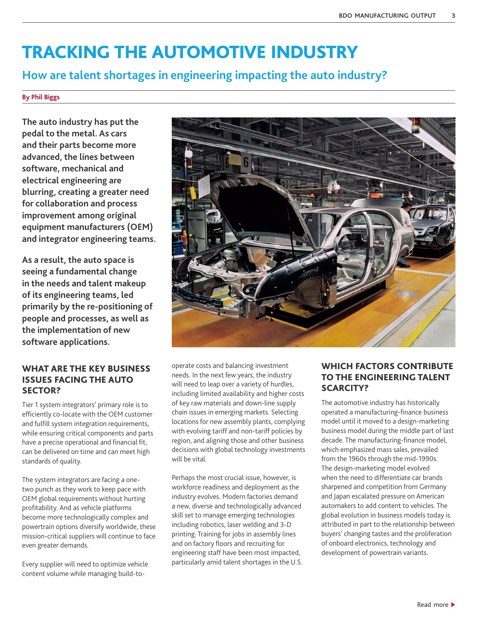## <span id="page-2-0"></span>TRACKING THE AUTOMOTIVE INDUSTRY

## **How are talent shortages in engineering impacting the auto industry?**

#### **By Phil Biggs**

**The auto industry has put the pedal to the metal. As cars and their parts become more advanced, the lines between software, mechanical and electrical engineering are blurring, creating a greater need for collaboration and process improvement among original equipment manufacturers (OEM) and integrator engineering teams.** 

**As a result, the auto space is seeing a fundamental change in the needs and talent makeup of its engineering teams, led primarily by the re-positioning of people and processes, as well as the implementation of new software applications.**

## WHAT ARE THE KEY BUSINESS ISSUES FACING THE AUTO SECTOR?

Tier 1 system integrators' primary role is to efficiently co-locate with the OEM customer and fulfill system integration requirements, while ensuring critical components and parts have a precise operational and financial fit, can be delivered on time and can meet high standards of quality.

The system integrators are facing a onetwo punch as they work to keep pace with OEM global requirements without hurting profitability. And as vehicle platforms become more technologically complex and powertrain options diversify worldwide, these mission-critical suppliers will continue to face even greater demands.

Every supplier will need to optimize vehicle content volume while managing build-to-



operate costs and balancing investment needs. In the next few years, the industry will need to leap over a variety of hurdles, including limited availability and higher costs of key raw materials and down-line supply chain issues in emerging markets. Selecting locations for new assembly plants, complying with evolving tariff and non-tariff policies by region, and aligning those and other business decisions with global technology investments will be vital.

Perhaps the most crucial issue, however, is workforce readiness and deployment as the industry evolves. Modern factories demand a new, diverse and technologically advanced skill set to manage emerging technologies including robotics, laser welding and 3-D printing. Training for jobs in assembly lines and on factory floors and recruiting for engineering staff have been most impacted, particularly amid talent shortages in the U.S.

## WHICH FACTORS CONTRIBUTE TO THE ENGINEERING TALENT SCARCITY?

The automotive industry has historically operated a manufacturing-finance business model until it moved to a design-marketing business model during the middle part of last decade. The manufacturing-finance model, which emphasized mass sales, prevailed from the 1960s through the mid-1990s. The design-marketing model evolved when the need to differentiate car brands sharpened and competition from Germany and Japan escalated pressure on American automakers to add content to vehicles. The global evolution in business models today is attributed in part to the relationship between buyers' changing tastes and the proliferation of onboard electronics, technology and development of powertrain variants.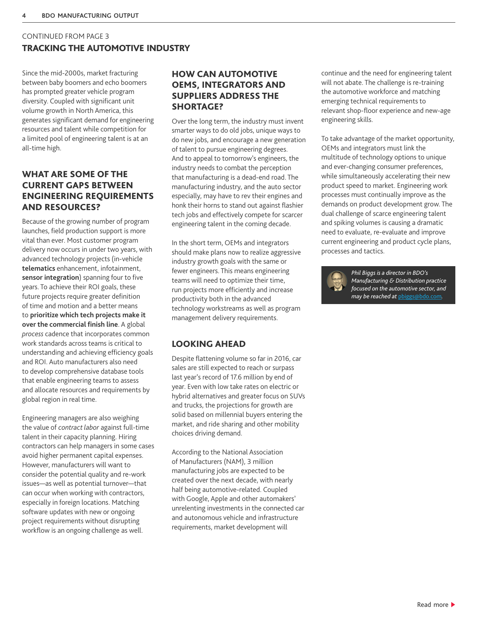## CONTINUED FROM PAGE 3 TRACKING THE AUTOMOTIVE INDUSTRY

Since the mid-2000s, market fracturing between baby boomers and echo boomers has prompted greater vehicle program diversity. Coupled with significant unit volume growth in North America, this generates significant demand for engineering resources and talent while competition for a limited pool of engineering talent is at an all-time high.

## WHAT ARE SOME OF THE CURRENT GAPS BETWEEN ENGINEERING REQUIREMENTS AND RESOURCES?

Because of the growing number of program launches, field production support is more vital than ever. Most customer program delivery now occurs in under two years, with advanced technology projects (in-vehicle **telematics** enhancement, infotainment, **sensor integration**) spanning four to five years. To achieve their ROI goals, these future projects require greater definition of time and motion and a better means to **prioritize which tech projects make it over the commercial finish line**. A global *process* cadence that incorporates common work standards across teams is critical to understanding and achieving efficiency goals and ROI. Auto manufacturers also need to develop comprehensive database tools that enable engineering teams to assess and allocate resources and requirements by global region in real time.

Engineering managers are also weighing the value of *contract labor* against full-time talent in their capacity planning. Hiring contractors can help managers in some cases avoid higher permanent capital expenses. However, manufacturers will want to consider the potential quality and re-work issues—as well as potential turnover—that can occur when working with contractors, especially in foreign locations. Matching software updates with new or ongoing project requirements without disrupting workflow is an ongoing challenge as well.

## HOW CAN AUTOMOTIVE OEMS, INTEGRATORS AND SUPPLIERS ADDRESS THE SHORTAGE?

Over the long term, the industry must invent smarter ways to do old jobs, unique ways to do new jobs, and encourage a new generation of talent to pursue engineering degrees. And to appeal to tomorrow's engineers, the industry needs to combat the perception that manufacturing is a dead-end road. The manufacturing industry, and the auto sector especially, may have to rev their engines and honk their horns to stand out against flashier tech jobs and effectively compete for scarcer engineering talent in the coming decade.

In the short term, OEMs and integrators should make plans now to realize aggressive industry growth goals with the same or fewer engineers. This means engineering teams will need to optimize their time, run projects more efficiently and increase productivity both in the advanced technology workstreams as well as program management delivery requirements.

## LOOKING AHEAD

Despite flattening volume so far in 2016, car sales are still expected to reach or surpass last year's record of 17.6 million by end of year. Even with low take rates on electric or hybrid alternatives and greater focus on SUVs and trucks, the projections for growth are solid based on millennial buyers entering the market, and ride sharing and other mobility choices driving demand.

According to the National Association of Manufacturers (NAM), 3 million manufacturing jobs are expected to be created over the next decade, with nearly half being automotive-related. Coupled with Google, Apple and other automakers' unrelenting investments in the connected car and autonomous vehicle and infrastructure requirements, market development will

continue and the need for engineering talent will not abate. The challenge is re-training the automotive workforce and matching emerging technical requirements to relevant shop-floor experience and new-age engineering skills.

To take advantage of the market opportunity, OEMs and integrators must link the multitude of technology options to unique and ever-changing consumer preferences, while simultaneously accelerating their new product speed to market. Engineering work processes must continually improve as the demands on product development grow. The dual challenge of scarce engineering talent and spiking volumes is causing a dramatic need to evaluate, re-evaluate and improve current engineering and product cycle plans, processes and tactics.



*Phil Biggs is a director in BDO's Manufacturing & Distribution practice focused on the automotive sector, and may be reached at* [pbiggs@bdo.com](mailto:pbiggs%40bdo.com?subject=)*.*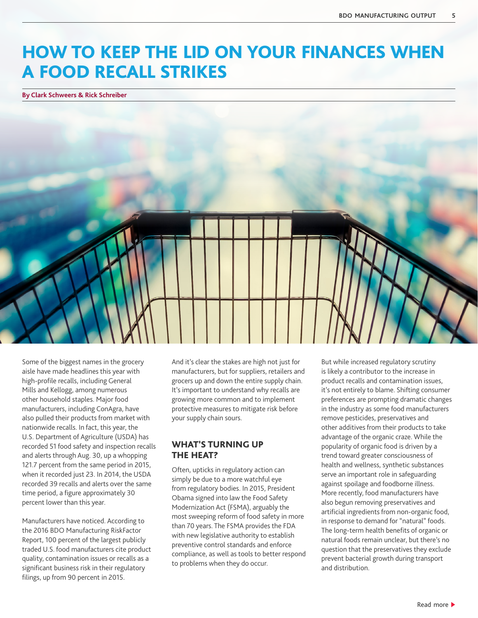## HOW TO KEEP THE LID ON YOUR FINANCES WHEN A FOOD RECALL STRIKES

**By Clark Schweers & Rick Schreiber**



Some of the biggest names in the grocery aisle have made headlines this year with high-profile recalls, including General Mills and Kellogg, among numerous other household staples. Major food manufacturers, including ConAgra, have also pulled their products from market with nationwide recalls. In fact, this year, the U.S. Department of Agriculture (USDA) has recorded 51 food safety and inspection recalls and alerts through Aug. 30, up a whopping 121.7 percent from the same period in 2015, when it recorded just 23. In 2014, the USDA recorded 39 recalls and alerts over the same time period, a figure approximately 30 percent lower than this year.

Manufacturers have noticed. According to the 2016 BDO Manufacturing RiskFactor Report, 100 percent of the largest publicly traded U.S. food manufacturers cite product quality, contamination issues or recalls as a significant business risk in their regulatory filings, up from 90 percent in 2015.

And it's clear the stakes are high not just for manufacturers, but for suppliers, retailers and grocers up and down the entire supply chain. It's important to understand why recalls are growing more common and to implement protective measures to mitigate risk before your supply chain sours.

### WHAT'S TURNING UP THE HEAT?

Often, upticks in regulatory action can simply be due to a more watchful eye from regulatory bodies. In 2015, President Obama signed into law the Food Safety Modernization Act (FSMA), arguably the most sweeping reform of food safety in more than 70 years. The FSMA provides the FDA with new legislative authority to establish preventive control standards and enforce compliance, as well as tools to better respond to problems when they do occur.

But while increased regulatory scrutiny is likely a contributor to the increase in product recalls and contamination issues, it's not entirely to blame. Shifting consumer preferences are prompting dramatic changes in the industry as some food manufacturers remove pesticides, preservatives and other additives from their products to take advantage of the organic craze. While the popularity of organic food is driven by a trend toward greater consciousness of health and wellness, synthetic substances serve an important role in safeguarding against spoilage and foodborne illness. More recently, food manufacturers have also begun removing preservatives and artificial ingredients from non-organic food, in response to demand for "natural" foods. The long-term health benefits of organic or natural foods remain unclear, but there's no question that the preservatives they exclude prevent bacterial growth during transport and distribution.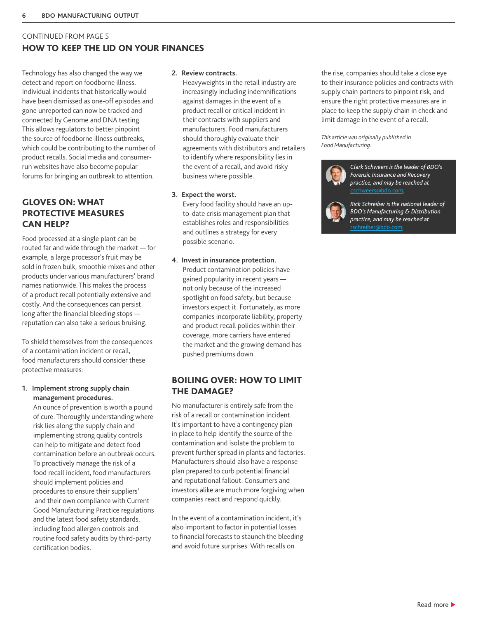## CONTINUED FROM PAGE 5 HOW TO KEEP THE LID ON YOUR FINANCES

Technology has also changed the way we detect and report on foodborne illness. Individual incidents that historically would have been dismissed as one-off episodes and gone unreported can now be tracked and connected by Genome and DNA testing. This allows regulators to better pinpoint the source of foodborne illness outbreaks, which could be contributing to the number of product recalls. Social media and consumerrun websites have also become popular forums for bringing an outbreak to attention.

## GLOVES ON: WHAT PROTECTIVE MEASURES CAN HELP?

Food processed at a single plant can be routed far and wide through the market — for example, a large processor's fruit may be sold in frozen bulk, smoothie mixes and other products under various manufacturers' brand names nationwide. This makes the process of a product recall potentially extensive and costly. And the consequences can persist long after the financial bleeding stops reputation can also take a serious bruising.

To shield themselves from the consequences of a contamination incident or recall, food manufacturers should consider these protective measures:

**1. Implement strong supply chain management procedures.** 

> An ounce of prevention is worth a pound of cure. Thoroughly understanding where risk lies along the supply chain and implementing strong quality controls can help to mitigate and detect food contamination before an outbreak occurs. To proactively manage the risk of a food recall incident, food manufacturers should implement policies and procedures to ensure their suppliers' and their own compliance with Current Good Manufacturing Practice regulations and the latest food safety standards, including food allergen controls and routine food safety audits by third-party certification bodies.

#### **2. Review contracts.**

Heavyweights in the retail industry are increasingly including indemnifications against damages in the event of a product recall or critical incident in their contracts with suppliers and manufacturers. Food manufacturers should thoroughly evaluate their agreements with distributors and retailers to identify where responsibility lies in the event of a recall, and avoid risky business where possible.

#### **3. Expect the worst.**

Every food facility should have an upto-date crisis management plan that establishes roles and responsibilities and outlines a strategy for every possible scenario.

#### **4. Invest in insurance protection.**

Product contamination policies have gained popularity in recent years not only because of the increased spotlight on food safety, but because investors expect it. Fortunately, as more companies incorporate liability, property and product recall policies within their coverage, more carriers have entered the market and the growing demand has pushed premiums down.

## BOILING OVER: HOW TO LIMIT THE DAMAGE?

No manufacturer is entirely safe from the risk of a recall or contamination incident. It's important to have a contingency plan in place to help identify the source of the contamination and isolate the problem to prevent further spread in plants and factories. Manufacturers should also have a response plan prepared to curb potential financial and reputational fallout. Consumers and investors alike are much more forgiving when companies react and respond quickly.

In the event of a contamination incident, it's also important to factor in potential losses to financial forecasts to staunch the bleeding and avoid future surprises. With recalls on

the rise, companies should take a close eye to their insurance policies and contracts with supply chain partners to pinpoint risk, and ensure the right protective measures are in place to keep the supply chain in check and limit damage in the event of a recall.

*This article was originally published in Food Manufacturing.* 



*Clark Schweers is the leader of BDO's Forensic Insurance and Recovery practice, and may be reached at*  [cschweers@bdo.com](mailto:cschweers%40bdo.com?subject=)*.* 

*Rick Schreiber is the national leader of BDO's Manufacturing & Distribution practice, and may be reached at*  rschreiber@bdo.com*.*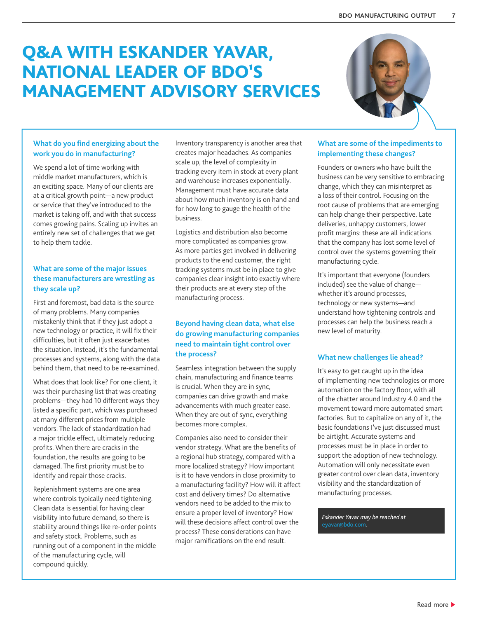## Q&A WITH ESKANDER YAVAR, NATIONAL LEADER OF BDO'S MANAGEMENT ADVISORY SERVICES



### **What do you find energizing about the work you do in manufacturing?**

We spend a lot of time working with middle market manufacturers, which is an exciting space. Many of our clients are at a critical growth point—a new product or service that they've introduced to the market is taking off, and with that success comes growing pains. Scaling up invites an entirely new set of challenges that we get to help them tackle.

## **What are some of the major issues these manufacturers are wrestling as they scale up?**

First and foremost, bad data is the source of many problems. Many companies mistakenly think that if they just adopt a new technology or practice, it will fix their difficulties, but it often just exacerbates the situation. Instead, it's the fundamental processes and systems, along with the data behind them, that need to be re-examined.

What does that look like? For one client, it was their purchasing list that was creating problems—they had 10 different ways they listed a specific part, which was purchased at many different prices from multiple vendors. The lack of standardization had a major trickle effect, ultimately reducing profits. When there are cracks in the foundation, the results are going to be damaged. The first priority must be to identify and repair those cracks.

Replenishment systems are one area where controls typically need tightening. Clean data is essential for having clear visibility into future demand, so there is stability around things like re-order points and safety stock. Problems, such as running out of a component in the middle of the manufacturing cycle, will compound quickly.

Inventory transparency is another area that creates major headaches. As companies scale up, the level of complexity in tracking every item in stock at every plant and warehouse increases exponentially. Management must have accurate data about how much inventory is on hand and for how long to gauge the health of the business.

Logistics and distribution also become more complicated as companies grow. As more parties get involved in delivering products to the end customer, the right tracking systems must be in place to give companies clear insight into exactly where their products are at every step of the manufacturing process.

#### **Beyond having clean data, what else do growing manufacturing companies need to maintain tight control over the process?**

Seamless integration between the supply chain, manufacturing and finance teams is crucial. When they are in sync, companies can drive growth and make advancements with much greater ease. When they are out of sync, everything becomes more complex.

Companies also need to consider their vendor strategy. What are the benefits of a regional hub strategy, compared with a more localized strategy? How important is it to have vendors in close proximity to a manufacturing facility? How will it affect cost and delivery times? Do alternative vendors need to be added to the mix to ensure a proper level of inventory? How will these decisions affect control over the process? These considerations can have major ramifications on the end result.

#### **What are some of the impediments to implementing these changes?**

Founders or owners who have built the business can be very sensitive to embracing change, which they can misinterpret as a loss of their control. Focusing on the root cause of problems that are emerging can help change their perspective. Late deliveries, unhappy customers, lower profit margins: these are all indications that the company has lost some level of control over the systems governing their manufacturing cycle.

It's important that everyone (founders included) see the value of change whether it's around processes, technology or new systems—and understand how tightening controls and processes can help the business reach a new level of maturity.

### **What new challenges lie ahead?**

It's easy to get caught up in the idea of implementing new technologies or more automation on the factory floor, with all of the chatter around Industry 4.0 and the movement toward more automated smart factories. But to capitalize on any of it, the basic foundations I've just discussed must be airtight. Accurate systems and processes must be in place in order to support the adoption of new technology. Automation will only necessitate even greater control over clean data, inventory visibility and the standardization of manufacturing processes.

*Eskander Yavar may be reached at*  [eyavar@bdo.com](mailto:eyavar%40bdo.com?subject=)*.*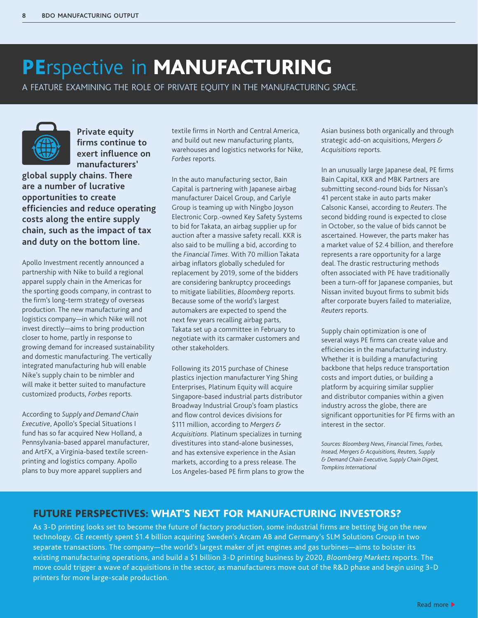## <span id="page-7-0"></span>PErspective in MANUFACTURING

A FEATURE EXAMINING THE ROLE OF PRIVATE EQUITY IN THE MANUFACTURING SPACE.



**Private equity firms continue to exert influence on manufacturers'** 

**global supply chains. There are a number of lucrative opportunities to create efficiencies and reduce operating costs along the entire supply chain, such as the impact of tax and duty on the bottom line.** 

Apollo Investment recently announced a partnership with Nike to build a regional apparel supply chain in the Americas for the sporting goods company, in contrast to the firm's long-term strategy of overseas production. The new manufacturing and logistics company—in which Nike will not invest directly—aims to bring production closer to home, partly in response to growing demand for increased sustainability and domestic manufacturing. The vertically integrated manufacturing hub will enable Nike's supply chain to be nimbler and will make it better suited to manufacture customized products, *Forbes* reports.

According to *Supply and Demand Chain Executive*, Apollo's Special Situations I fund has so far acquired New Holland, a Pennsylvania-based apparel manufacturer, and ArtFX, a Virginia-based textile screenprinting and logistics company. Apollo plans to buy more apparel suppliers and

textile firms in North and Central America, and build out new manufacturing plants, warehouses and logistics networks for Nike, *Forbes* reports.

In the auto manufacturing sector, Bain Capital is partnering with Japanese airbag manufacturer Daicel Group, and Carlyle Group is teaming up with Ningbo Joyson Electronic Corp.-owned Key Safety Systems to bid for Takata, an airbag supplier up for auction after a massive safety recall. KKR is also said to be mulling a bid, according to the *Financial Times*. With 70 million Takata airbag inflators globally scheduled for replacement by 2019, some of the bidders are considering bankruptcy proceedings to mitigate liabilities, *Bloomberg* reports. Because some of the world's largest automakers are expected to spend the next few years recalling airbag parts, Takata set up a committee in February to negotiate with its carmaker customers and other stakeholders.

Following its 2015 purchase of Chinese plastics injection manufacturer Ying Shing Enterprises, Platinum Equity will acquire Singapore-based industrial parts distributor Broadway Industrial Group's foam plastics and flow control devices divisions for \$111 million, according to *Mergers & Acquisitions*. Platinum specializes in turning divestitures into stand-alone businesses, and has extensive experience in the Asian markets, according to a press release. The Los Angeles-based PE firm plans to grow the Asian business both organically and through strategic add-on acquisitions, *Mergers & Acquisitions* reports.

In an unusually large Japanese deal, PE firms Bain Capital, KKR and MBK Partners are submitting second-round bids for Nissan's 41 percent stake in auto parts maker Calsonic Kansei, according to *Reuters*. The second bidding round is expected to close in October, so the value of bids cannot be ascertained. However, the parts maker has a market value of \$2.4 billion, and therefore represents a rare opportunity for a large deal. The drastic restructuring methods often associated with PE have traditionally been a turn-off for Japanese companies, but Nissan invited buyout firms to submit bids after corporate buyers failed to materialize, *Reuters* reports.

Supply chain optimization is one of several ways PE firms can create value and efficiencies in the manufacturing industry. Whether it is building a manufacturing backbone that helps reduce transportation costs and import duties, or building a platform by acquiring similar supplier and distributor companies within a given industry across the globe, there are significant opportunities for PE firms with an interest in the sector.

*Sources: Bloomberg News, Financial Times, Forbes, Insead, Mergers & Acquisitions, Reuters, Supply & Demand Chain Executive, Supply Chain Digest, Tompkins International* 

## FUTURE PERSPECTIVES: WHAT'S NEXT FOR MANUFACTURING INVESTORS?

As 3-D printing looks set to become the future of factory production, some industrial firms are betting big on the new technology. GE recently spent \$1.4 billion acquiring Sweden's Arcam AB and Germany's SLM Solutions Group in two separate transactions. The company—the world's largest maker of jet engines and gas turbines—aims to bolster its existing manufacturing operations, and build a \$1 billion 3-D printing business by 2020, *Bloomberg Markets* reports. The move could trigger a wave of acquisitions in the sector, as manufacturers move out of the R&D phase and begin using 3-D printers for more large-scale production.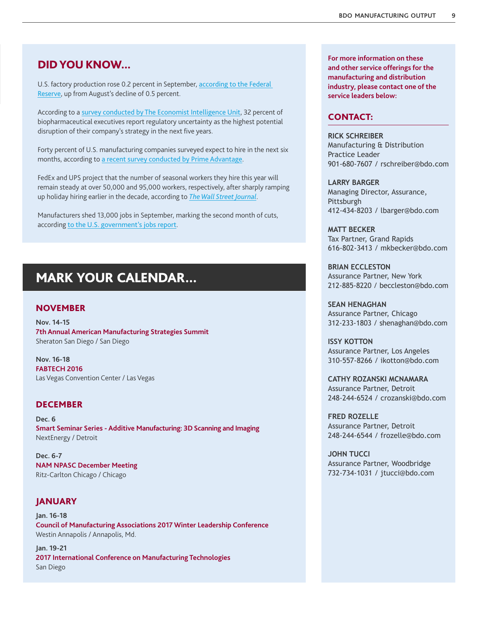## <span id="page-8-0"></span>DID YOU KNOW...

U.S. factory production rose 0.2 percent in September, [according to the Federal](http://www.manufacturing.net/news/2016/10/us-factory-production-modestly-rebounds-september)  [Reserve](http://www.manufacturing.net/news/2016/10/us-factory-production-modestly-rebounds-september), up from August's decline of 0.5 percent.

According to a [survey conducted by The Economist Intelligence Unit](http://www.pharmpro.com/article/2016/09/growth-strategies-open-new-risks-biopharma?__hstc=97553472.5b94df67165d1097842da87b7e63af87.1465319665470.1475770014440.1476738954391.30&__hssc=97553472.5.1476738954391&__hsfp=2774931620), 32 percent of biopharmaceutical executives report regulatory uncertainty as the highest potential disruption of their company's strategy in the next five years.

Forty percent of U.S. manufacturing companies surveyed expect to hire in the next six months, according to [a recent survey conducted by Prime Advantage](http://www.inddist.com/data-focus/2016/09/survey-midsize-industrial-manufacturers-optimistic-sales-employment-2016-remainder?__hstc=97553472.5b94df67165d1097842da87b7e63af87.1465319665470.1475770014440.1476738954391.30&__hssc=97553472.5.1476738954391&__hsfp=2774931620).

FedEx and UPS project that the number of seasonal workers they hire this year will remain steady at over 50,000 and 95,000 workers, respectively, after sharply ramping up holiday hiring earlier in the decade, according to *[The Wall Street Journal](http://www.wsj.com/articles/fedex-ups-gear-up-for-holiday-season-with-more-sorting-hubs-technology-1475245021)*.

Manufacturers shed 13,000 jobs in September, marking the second month of cuts, according [to the U.S. government's jobs report](http://www.bloomberg.com/news/articles/2016-10-07/us-jobless-rate-ticks-up-to-5-pct-employers-add-156k-jobs).

## MARK YOUR CALENDAR…

#### NOVEMBER

**Nov. 14-15 7th Annual American Manufacturing Strategies Summit** Sheraton San Diego / San Diego

**Nov. 16-18 FABTECH 2016** Las Vegas Convention Center / Las Vegas

#### DECEMBER

**Dec. 6 Smart Seminar Series - Additive Manufacturing: 3D Scanning and Imaging** NextEnergy / Detroit

**Dec. 6-7 NAM NPASC December Meeting** Ritz-Carlton Chicago / Chicago

### JANUARY

**Jan. 16-18 Council of Manufacturing Associations 2017 Winter Leadership Conference** Westin Annapolis / Annapolis, Md.

**Jan. 19-21 2017 International Conference on Manufacturing Technologies** San Diego

**For more information on these and other service offerings for the manufacturing and distribution industry, please contact one of the service leaders below:**

#### CONTACT:

**RICK SCHREIBER**  Manufacturing & Distribution Practice Leader 901-680-7607 / rschreiber@bdo.com

**LARRY BARGER** Managing Director, Assurance, Pittsburgh 412-434-8203 / lbarger@bdo.com

**MATT BECKER**  Tax Partner, Grand Rapids 616-802-3413 / mkbecker@bdo.com

**BRIAN ECCLESTON**  Assurance Partner, New York 212-885-8220 / beccleston@bdo.com

**SEAN HENAGHAN** Assurance Partner, Chicago 312-233-1803 / shenaghan@bdo.com

**ISSY KOTTON**  Assurance Partner, Los Angeles 310-557-8266 / ikotton@bdo.com

**CATHY ROZANSKI MCNAMARA** Assurance Partner, Detroit 248-244-6524 / crozanski@bdo.com

**FRED ROZELLE**  Assurance Partner, Detroit 248-244-6544 / frozelle@bdo.com

**JOHN TUCCI** Assurance Partner, Woodbridge 732-734-1031 / jtucci@bdo.com